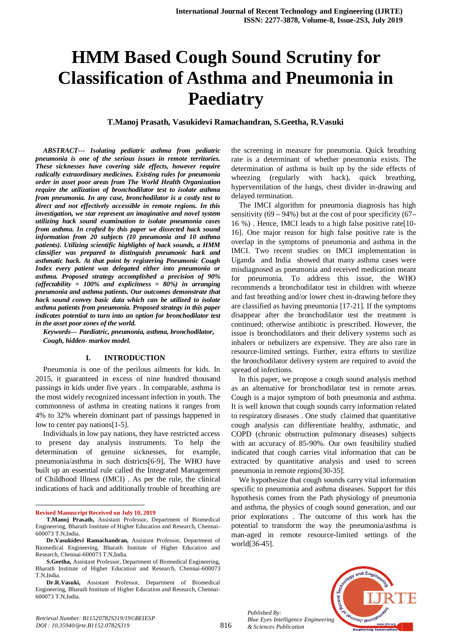# **HMM Based Cough Sound Scrutiny for Classification of Asthma and Pneumonia in Paediatry**

**T.Manoj Prasath, Vasukidevi Ramachandran, S.Geetha, R.Vasuki**

*ABSTRACT--- Isolating pediatric asthma from pediatric pneumonia is one of the serious issues in remote territories. These sicknesses have covering side effects, however require radically extraordinary medicines. Existing rules for pneumonia order in asset poor areas from The World Health Organization require the utilization of bronchodilator test to isolate asthma from pneumonia. In any case, bronchodilator is a costly test to direct and not effectively accessible in remote regions. In this investigation, we star represent an imaginative and novel system utilizing hack sound examination to isolate pneumonia cases from asthma. In crafted by this paper we dissected hack sound information from 20 subjects (10 pneumonia and 10 asthma patients). Utilizing scientific highlights of hack sounds, a HMM classifier was prepared to distinguish pneumonic hack and asthmatic hack. At that point by registering Pneumonic Cough Index every patient was delegated either into pneumonia or asthma. Proposed strategy accomplished a precision of 90% (affectability = 100% and explicitness = 80%) in arranging pneumonia and asthma patients. Our outcomes demonstrate that hack sound convey basic data which can be utilized to isolate asthma patients from pneumonia. Proposed strategy in this paper indicates potential to turn into an option for bronchodilator test in the asset poor zones of the world.*

*Keywords— Paediatric, pneumonia, asthma, bronchodilator, Cough, hidden- markov model.*

## **I. INTRODUCTION**

Pneumonia is one of the perilous ailments for kids. In 2015, it guaranteed in excess of nine hundred thousand passings in kids under five years . In comparable, asthma is the most widely recognized incessant infection in youth. The commonness of asthma in creating nations it ranges from 4% to 32% wherein dominant part of passings happened in low to center pay nations[1-5].

Individuals in low pay nations, they have restricted access to present day analysis instruments. To help the determination of genuine sicknesses, for example, pneumonia/asthma in such districts[6-9], The WHO have built up an essential rule called the Integrated Management of Childhood Illness (IMCI) . As per the rule, the clinical indications of hack and additionally trouble of breathing are

**Revised Manuscript Received on July 10, 2019**

1

the screening in measure for pneumonia. Quick breathing rate is a determinant of whether pneumonia exists. The determination of asthma is built up by the side effects of wheezing (regularly with hack), quick breathing, hyperventilation of the lungs, chest divider in-drawing and delayed termination.

The IMCI algorithm for pneumonia diagnosis has high sensitivity (69 **–** 94%) but at the cost of poor specificity (67**–** 16 %) . Hence, IMCI leads to a high false positive rate[10- 16]. One major reason for high false positive rate is the overlap in the symptoms of pneumonia and asthma in the IMCI. Two recent studies on IMCI implementation in Uganda and India showed that many asthma cases were misdiagnosed as pneumonia and received medication meant for pneumonia. To address this issue, the WHO recommends a bronchodilator test in children with wheeze and fast breathing and/or lower chest in-drawing before they are classified as having pneumonia [17-21]. If the symptoms disappear after the bronchodilator test the treatment is continued; otherwise antibiotic is prescribed. However, the issue is bronchodilators and their delivery systems such as inhalers or nebulizers are expensive. They are also rare in resource-limited settings. Further, extra efforts to sterilize the bronchodilator delivery system are required to avoid the spread of infections.

In this paper, we propose a cough sound analysis method as an alternative for bronchodilator test in remote areas. Cough is a major symptom of both pneumonia and asthma. It is well known that cough sounds carry information related to respiratory diseases . One study claimed that quantitative cough analysis can differentiate healthy, asthmatic, and COPD (chronic obstruction pulmonary diseases) subjects with an accuracy of 85-90%. Our own feasibility studied indicated that cough carries vital information that can be extracted by quantitative analysis and used to screen pneumonia in remote regions[30-35].

We hypothesize that cough sounds carry vital information specific to pneumonia and asthma diseases. Support for this hypothesis comes from the Path physiology of pneumonia and asthma, the physics of cough sound generation, and our prior explorations . The outcome of this work has the potential to transform the way the pneumonia/asthma is man-aged in remote resource-limited settings of the world[36-45].





**T.Manoj Prasath,** Assistant Professor, Department of Biomedical Engineering, Bharath Institute of Higher Education and Research, Chennai-600073 T.N,India.

**Dr.Vasukidevi Ramachandran,** Assistant Professor, Department of Biomedical Engineering, Bharath Institute of Higher Education and Research, Chennai-600073 T.N,India.

**S.Geetha,** Assistant Professor, Department of Biomedical Engineering, Bharath Institute of Higher Education and Research, Chennai-600073 T.N,India.

**Dr.R.Vasuki,** Assistant Professor, Department of Biomedical Engineering, Bharath Institute of Higher Education and Research, Chennai-600073 T.N,India.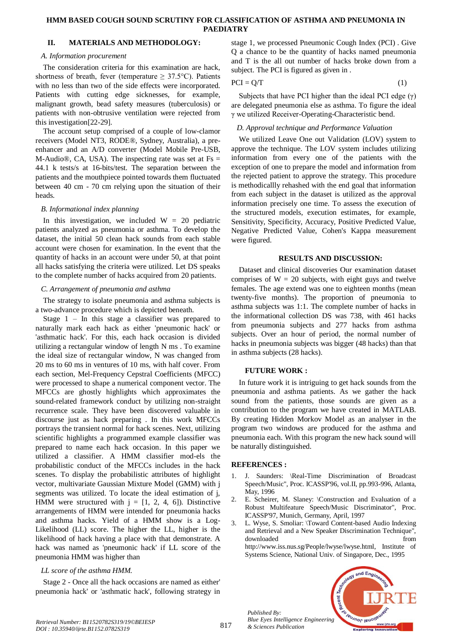## **HMM BASED COUGH SOUND SCRUTINY FOR CLASSIFICATION OF ASTHMA AND PNEUMONIA IN PAEDIATRY**

## **II. MATERIALS AND METHODOLOGY:**

## *A. Information procurement*

The consideration criteria for this examination are hack, shortness of breath, fever (temperature  $\geq$  37.5°C). Patients with no less than two of the side effects were incorporated. Patients with cutting edge sicknesses, for example, malignant growth, bead safety measures (tuberculosis) or patients with non-obtrusive ventilation were rejected from this investigation[22-29].

The account setup comprised of a couple of low-clamor receivers (Model NT3, RODE®, Sydney, Australia), a preenhancer and an A/D converter (Model Mobile Pre-USB, M-Audio®, CA, USA). The inspecting rate was set at  $Fs =$ 44.1 k tests/s at 16-bits/test. The separation between the patients and the mouthpiece pointed towards them fluctuated between 40 cm - 70 cm relying upon the situation of their heads.

# *B. Informational index planning*

In this investigation, we included  $W = 20$  pediatric patients analyzed as pneumonia or asthma. To develop the dataset, the initial 50 clean hack sounds from each stable account were chosen for examination. In the event that the quantity of hacks in an account were under 50, at that point all hacks satisfying the criteria were utilized. Let DS speaks to the complete number of hacks acquired from 20 patients.

## *C. Arrangement of pneumonia and asthma*

The strategy to isolate pneumonia and asthma subjects is a two-advance procedure which is depicted beneath.

Stage  $1 - \text{In this stage a classifier was prepared to }$ naturally mark each hack as either 'pneumonic hack' or 'asthmatic hack'. For this, each hack occasion is divided utilizing a rectangular window of length N ms . To examine the ideal size of rectangular window, N was changed from 20 ms to 60 ms in ventures of 10 ms, with half cover. From each section, Mel-Frequency Cepstral Coefficients (MFCC) were processed to shape a numerical component vector. The MFCCs are ghostly highlights which approximates the sound-related framework conduct by utilizing non-straight recurrence scale. They have been discovered valuable in discourse just as hack preparing . In this work MFCCs portrays the transient normal for hack scenes. Next, utilizing scientific highlights a programmed example classifier was prepared to name each hack occasion. In this paper we utilized a classifier. A HMM classifier mod-els the probabilistic conduct of the MFCCs includes in the hack scenes. To display the probabilistic attributes of highlight vector, multivariate Gaussian Mixture Model (GMM) with j segments was utilized. To locate the ideal estimation of j, HMM were structured with  $j = [1, 2, 4, 6]$ ). Distinctive arrangements of HMM were intended for pneumonia hacks and asthma hacks. Yield of a HMM show is a Log-Likelihood (LL) score. The higher the LL, higher is the likelihood of hack having a place with that demonstrate. A hack was named as 'pneumonic hack' if LL score of the pneumonia HMM was higher than

# *LL score of the asthma HMM.*

Stage 2 - Once all the hack occasions are named as either' pneumonia hack' or 'asthmatic hack', following strategy in stage 1, we processed Pneumonic Cough Index (PCI) . Give Q a chance to be the quantity of hacks named pneumonia and T is the all out number of hacks broke down from a subject. The PCI is figured as given in .

$$
PCI = Q/T \tag{1}
$$

Subjects that have PCI higher than the ideal PCI edge (γ) are delegated pneumonia else as asthma. To figure the ideal γ we utilized Receiver-Operating-Characteristic bend.

# *D. Approval technique and Performance Valuation*

We utilized Leave One out Validation (LOV) system to approve the technique. The LOV system includes utilizing information from every one of the patients with the exception of one to prepare the model and information from the rejected patient to approve the strategy. This procedure is methodicallly rehashed with the end goal that information from each subject in the dataset is utilized as the approval information precisely one time. To assess the execution of the structured models, execution estimates, for example, Sensitivity, Specificity, Accuracy, Positive Predicted Value, Negative Predicted Value, Cohen's Kappa measurement were figured.

## **RESULTS AND DISCUSSION:**

Dataset and clinical discoveries Our examination dataset comprises of  $W = 20$  subjects, with eight guys and twelve females. The age extend was one to eighteen months (mean twenty-five months). The proportion of pneumonia to asthma subjects was 1:1. The complete number of hacks in the informational collection DS was 738, with 461 hacks from pneumonia subjects and 277 hacks from asthma subjects. Over an hour of period, the normal number of hacks in pneumonia subjects was bigger (48 hacks) than that in asthma subjects (28 hacks).

# **FUTURE WORK :**

In future work it is intriguing to get hack sounds from the pneumonia and asthma patients. As we gather the hack sound from the patients, those sounds are given as a contribution to the program we have created in MATLAB. By creating Hidden Morkov Model as an analyser in the program two windows are produced for the asthma and pneumonia each. With this program the new hack sound will be naturally distinguished.

# **REFERENCES :**

*Published By:*

*& Sciences Publication* 

- 1. J. Saunders: \Real-Time Discrimination of Broadcast Speech/Music", Proc. ICASSP'96, vol.II, pp.993-996, Atlanta, May, 1996
- 2. E. Scheirer, M. Slaney: \Construction and Evaluation of a Robust Multifeature Speech/Music Discriminator", Proc. ICASSP'97, Munich, Germany, April, 1997
- 3. L. Wyse, S. Smoliar: \Toward Content-based Audio Indexing and Retrieval and a New Speaker Discrimination Technique", downloaded from the state of  $\sim$ http://www.iss.nus.sg/People/lwyse/lwyse.html, Institute of Systems Science, National Univ. of Singapore, Dec., 1995



*Retrieval Number: B11520782S319/19©BEIESP DOI : 10.35940/ijrte.B1152.0782S319*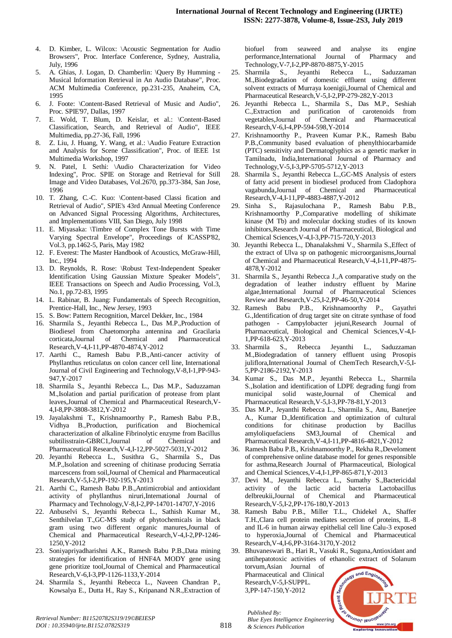- 4. D. Kimber, L. Wilcox: \Acoustic Segmentation for Audio Browsers", Proc. Interface Conference, Sydney, Australia, July, 1996
- 5. A. Ghias, J. Logan, D. Chamberlin: \Query By Humming Musical Information Retrieval in An Audio Database", Proc. ACM Multimedia Conference, pp.231-235, Anaheim, CA, 1995
- 6. J. Foote: \Content-Based Retrieval of Music and Audio", Proc. SPIE'97, Dallas, 1997
- 7. E. Wold, T. Blum, D. Keislar, et al.: \Content-Based Classification, Search, and Retrieval of Audio", IEEE Multimedia, pp.27-36, Fall, 1996
- 8. Z. Liu, J. Huang, Y. Wang, et al.: \Audio Feature Extraction and Analysis for Scene Classification", Proc. of IEEE 1st Multimedia Workshop, 1997
- 9. N. Patel, I. Sethi: \Audio Characterization for Video Indexing", Proc. SPIE on Storage and Retrieval for Still Image and Video Databases, Vol.2670, pp.373-384, San Jose, 1996
- 10. T. Zhang, C.-C. Kuo: \Content-based Classi fication and Retrieval of Audio", SPIE's 43rd Annual Meeting Conference on Advanced Signal Processing Algorithms, Architectures, and Implementations VIII, San Diego, July 1998
- 11. E. Miyasaka: \Timbre of Complex Tone Bursts with Time Varying Spectral Envelope", Proceedings of ICASSP'82, Vol.3, pp.1462-5, Paris, May 1982
- 12. F. Everest: The Master Handbook of Acoustics, McGraw-Hill, Inc., 1994
- 13. D. Reynolds, R. Rose: \Robust Text-Independent Speaker Identification Using Gaussian Mixture Speaker Models", IEEE Transactions on Speech and Audio Processing, Vol.3, No.1, pp.72-83, 1995
- 14. L. Rabinar, B. Juang: Fundamentals of Speech Recognition, Prentice-Hall, Inc., New Jersey, 1993
- 15. S. Bow: Pattern Recognition, Marcel Dekker, Inc., 1984
- 16. Sharmila S., Jeyanthi Rebecca L., Das M.P.,Production of Biodiesel from Chaetomorpha antennina and Gracilaria corticata,Journal of Chemical and Pharmaceutical Research,V-4,I-11,PP-4870-4874,Y-2012
- 17. Aarthi C., Ramesh Babu P.B.,Anti-cancer activity of Phyllanthus reticulatus on colon cancer cell line, International Journal of Civil Engineering and Technology,V-8,I-1,PP-943- 947,Y-2017
- 18. Sharmila S., Jeyanthi Rebecca L., Das M.P., Saduzzaman M.,Isolation and partial purification of protease from plant leaves,Journal of Chemical and Pharmaceutical Research,V-4,I-8,PP-3808-3812,Y-2012
- 19. Jayalakshmi T., Krishnamoorthy P., Ramesh Babu P.B., Vidhya B.,Production, purification and Biochemical characterization of alkaline Fibrinolytic enzyme from Bacillus subtilisstrain-GBRC1,Journal of Chemical and Pharmaceutical Research,V-4,I-12,PP-5027-5031,Y-2012
- 20. Jeyanthi Rebecca L., Susithra G., Sharmila S., Das M.P.,Isolation and screening of chitinase producing Serratia marcescens from soil,Journal of Chemical and Pharmaceutical Research,V-5,I-2,PP-192-195,Y-2013
- 21. Aarthi C., Ramesh Babu P.B.,Antimicrobial and antioxidant activity of phyllanthus niruri,International Journal of Pharmacy and Technology,V-8,I-2,PP-14701-14707,Y-2016
- 22. Anbuselvi S., Jeyanthi Rebecca L., Sathish Kumar M., Senthilvelan T.,GC-MS study of phytochemicals in black gram using two different organic manures,Journal of Chemical and Pharmaceutical Research,V-4,I-2,PP-1246- 1250,Y-2012
- 23. Soniyapriyadharishni A.K., Ramesh Babu P.B.,Data mining strategies for identification of HNF4A MODY gene using gene prioritize tool,Journal of Chemical and Pharmaceutical Research,V-6,I-3,PP-1126-1133,Y-2014
- 24. Sharmila S., Jeyanthi Rebecca L., Naveen Chandran P., Kowsalya E., Dutta H., Ray S., Kripanand N.R.,Extraction of

biofuel from seaweed and analyse its engine performance,International Journal of Pharmacy and Technology,V-7,I-2,PP-8870-8875,Y-2015

- 25. Sharmila S., Jeyanthi Rebecca L., Saduzzaman M.,Biodegradation of domestic effluent using different solvent extracts of Murraya koenigii,Journal of Chemical and Pharmaceutical Research,V-5,I-2,PP-279-282,Y-2013
- 26. Jeyanthi Rebecca L., Sharmila S., Das M.P., Seshiah C.,Extraction and purification of carotenoids from vegetables,Journal of Chemical and Pharmaceutical Research,V-6,I-4,PP-594-598,Y-2014
- 27. Krishnamoorthy P., Praveen Kumar P.K., Ramesh Babu P.B.,Community based evaluation of phenylthiocarbamide (PTC) sensitivity and Dermatoglyphics as a genetic marker in Tamilnadu, India,International Journal of Pharmacy and Technology,V-5,I-3,PP-5705-5712,Y-2013
- 28. Sharmila S., Jeyanthi Rebecca L.,GC-MS Analysis of esters of fatty acid present in biodiesel produced from Cladophora vagabunda,Journal of Chemical and Pharmaceutical Research,V-4,I-11,PP-4883-4887,Y-2012
- 29. Sinha S., Rajasulochana P., Ramesh Babu P.B., Krishnamoorthy P.,Comparative modelling of shikimate kinase (M Tb) and molecular docking studies of its known inhibitors,Research Journal of Pharmaceutical, Biological and Chemical Sciences,V-4,I-3,PP-715-720,Y-2013
- 30. Jeyanthi Rebecca L., Dhanalakshmi V., Sharmila S.,Effect of the extract of Ulva sp on pathogenic microorganisms,Journal of Chemical and Pharmaceutical Research,V-4,I-11,PP-4875- 4878,Y-2012
- 31. Sharmila S., Jeyanthi Rebecca J.,A comparative study on the degradation of leather industry effluent by Marine algae,International Journal of Pharmaceutical Sciences Review and Research,V-25,I-2,PP-46-50,Y-2014
- 32. Ramesh Babu P.B., Krishnamoorthy P., Gayathri G.,Identification of drug target site on citrate synthase of food pathogen - Campylobacter jejuni,Research Journal of Pharmaceutical, Biological and Chemical Sciences,V-4,I-1,PP-618-623,Y-2013
- 33. Sharmila S., Rebecca Jeyanthi L., Saduzzaman M.,Biodegradation of tannery effluent using Prosopis juliflora,International Journal of ChemTech Research, V-5,I-5,PP-2186-2192,Y-2013
- 34. Kumar S., Das M.P., Jeyanthi Rebecca L., Sharmila S.,Isolation and identification of LDPE degrading fungi from municipal solid waste,Journal of Chemical and Pharmaceutical Research,V-5,I-3,PP-78-81,Y-2013
- 35. Das M.P., Jeyanthi Rebecca L., Sharmila S., Anu, Banerjee A., Kumar D.,Identification and optimization of cultural conditions for chitinase production by Bacillus amyloliquefaciens SM3,Journal of Chemical and Pharmaceutical Research,V-4,I-11,PP-4816-4821,Y-2012
- 36. Ramesh Babu P.B., Krishnamoorthy P., Rekha R.,Develoment of comprehensive online database model for genes responsible for asthma,Research Journal of Pharmaceutical, Biological and Chemical Sciences,V-4,I-1,PP-865-871,Y-2013
- 37. Devi M., Jeyanthi Rebecca L., Sumathy S.,Bactericidal activity of the lactic acid bacteria Lactobacillus delbreukii,Journal of Chemical Research,V-5,I-2,PP-176-180,Y-2013
- 38. Ramesh Babu P.B., Miller T.L., Chidekel A., Shaffer T.H.,Clara cell protein mediates secretion of proteins, IL-8 and IL-6 in human airway epithelial cell line Calu-3 exposed to hyperoxia,Journal of Chemical and Pharmaceutical Research,V-4,I-6,PP-3164-3170,Y-2012

39. Bhuvaneswari B., Hari R., Vasuki R., Suguna,Antioxidant and antihepatotoxic activities of ethanolic extract of Solanum torvum,Asian Journal of and Eng Pharmaceutical and Clinical Research,V-5,I-SUPPL. 3,PP-147-150,Y-2012



*Published By:*

*& Sciences Publication*